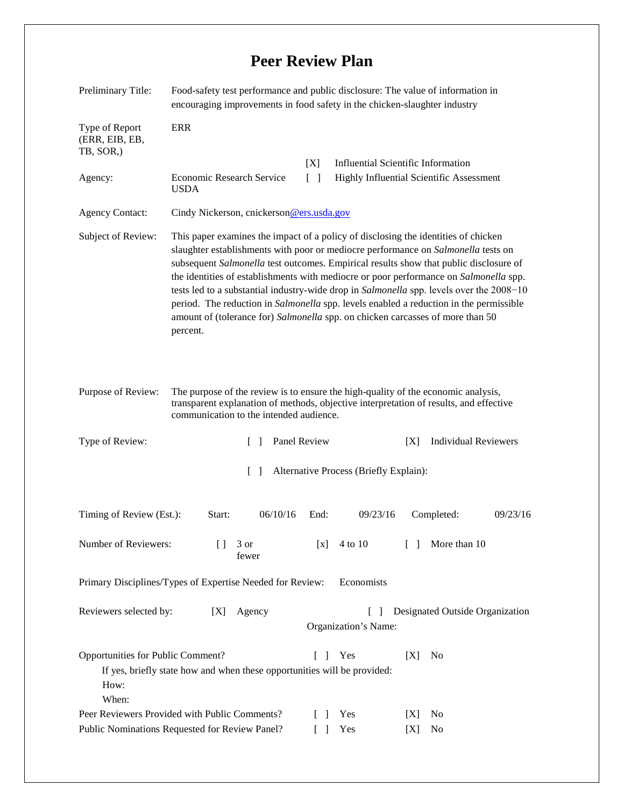## **Peer Review Plan**

| Preliminary Title:                                                                                                             | Food-safety test performance and public disclosure: The value of information in<br>encouraging improvements in food safety in the chicken-slaughter industry                                                                                                                                                                                                                                                                                                                                                                                                                                                                                  |               |              |                                           |        |                                          |          |  |  |
|--------------------------------------------------------------------------------------------------------------------------------|-----------------------------------------------------------------------------------------------------------------------------------------------------------------------------------------------------------------------------------------------------------------------------------------------------------------------------------------------------------------------------------------------------------------------------------------------------------------------------------------------------------------------------------------------------------------------------------------------------------------------------------------------|---------------|--------------|-------------------------------------------|--------|------------------------------------------|----------|--|--|
| Type of Report<br>(ERR, EIB, EB,<br>TB, SOR,)                                                                                  | <b>ERR</b>                                                                                                                                                                                                                                                                                                                                                                                                                                                                                                                                                                                                                                    |               |              |                                           |        |                                          |          |  |  |
|                                                                                                                                |                                                                                                                                                                                                                                                                                                                                                                                                                                                                                                                                                                                                                                               |               | [X]          | <b>Influential Scientific Information</b> |        |                                          |          |  |  |
| Agency:                                                                                                                        | $\begin{bmatrix} 1 \end{bmatrix}$<br>Economic Research Service<br><b>USDA</b>                                                                                                                                                                                                                                                                                                                                                                                                                                                                                                                                                                 |               |              |                                           |        | Highly Influential Scientific Assessment |          |  |  |
| <b>Agency Contact:</b>                                                                                                         | Cindy Nickerson, cnickerson@ers.usda.gov                                                                                                                                                                                                                                                                                                                                                                                                                                                                                                                                                                                                      |               |              |                                           |        |                                          |          |  |  |
| Subject of Review:                                                                                                             | This paper examines the impact of a policy of disclosing the identities of chicken<br>slaughter establishments with poor or mediocre performance on Salmonella tests on<br>subsequent Salmonella test outcomes. Empirical results show that public disclosure of<br>the identities of establishments with mediocre or poor performance on Salmonella spp.<br>tests led to a substantial industry-wide drop in Salmonella spp. levels over the 2008-10<br>period. The reduction in Salmonella spp. levels enabled a reduction in the permissible<br>amount of (tolerance for) Salmonella spp. on chicken carcasses of more than 50<br>percent. |               |              |                                           |        |                                          |          |  |  |
| Purpose of Review:                                                                                                             | The purpose of the review is to ensure the high-quality of the economic analysis,<br>transparent explanation of methods, objective interpretation of results, and effective<br>communication to the intended audience.                                                                                                                                                                                                                                                                                                                                                                                                                        |               |              |                                           |        |                                          |          |  |  |
| Type of Review:                                                                                                                |                                                                                                                                                                                                                                                                                                                                                                                                                                                                                                                                                                                                                                               | $\mathbf{I}$  | Panel Review |                                           | [X]    | <b>Individual Reviewers</b>              |          |  |  |
| Alternative Process (Briefly Explain):<br>$\lceil - \rceil$                                                                    |                                                                                                                                                                                                                                                                                                                                                                                                                                                                                                                                                                                                                                               |               |              |                                           |        |                                          |          |  |  |
| Timing of Review (Est.):                                                                                                       | Start:                                                                                                                                                                                                                                                                                                                                                                                                                                                                                                                                                                                                                                        | 06/10/16      | End:         | 09/23/16                                  |        | Completed:                               | 09/23/16 |  |  |
| Number of Reviewers:                                                                                                           | $[ \ ]$                                                                                                                                                                                                                                                                                                                                                                                                                                                                                                                                                                                                                                       | 3 or<br>fewer | [x]          | 4 to 10                                   | $[\ ]$ | More than 10                             |          |  |  |
| Primary Disciplines/Types of Expertise Needed for Review:<br>Economists                                                        |                                                                                                                                                                                                                                                                                                                                                                                                                                                                                                                                                                                                                                               |               |              |                                           |        |                                          |          |  |  |
| Reviewers selected by:                                                                                                         | [X]                                                                                                                                                                                                                                                                                                                                                                                                                                                                                                                                                                                                                                           | Agency        |              | $\Box$<br>Organization's Name:            |        | Designated Outside Organization          |          |  |  |
| Opportunities for Public Comment?<br>If yes, briefly state how and when these opportunities will be provided:<br>How:<br>When: |                                                                                                                                                                                                                                                                                                                                                                                                                                                                                                                                                                                                                                               |               | $\Box$       | Yes                                       | [X]    | No                                       |          |  |  |
| Peer Reviewers Provided with Public Comments?                                                                                  |                                                                                                                                                                                                                                                                                                                                                                                                                                                                                                                                                                                                                                               |               |              | Yes                                       | [X]    | No                                       |          |  |  |
| Public Nominations Requested for Review Panel?                                                                                 |                                                                                                                                                                                                                                                                                                                                                                                                                                                                                                                                                                                                                                               |               |              | Yes                                       | [X]    | No                                       |          |  |  |